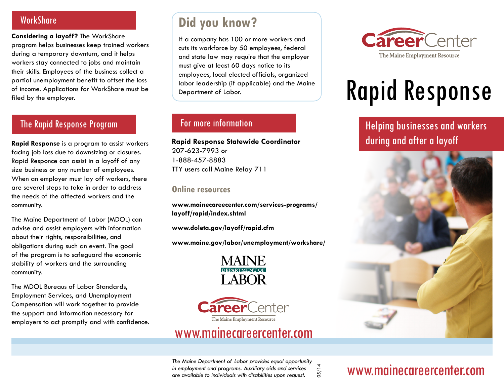### **WorkShare**

**Considering a layoff?** The WorkShare program helps businesses keep trained workers during a temporary downturn, and it helps workers stay connected to jobs and maintain their skills. Employees of the business collect a partial unemployment benefit to offset the loss of income. Applications for WorkShare must be filed by the employer.

### The Rapid Response Program

**Rapid Response** is a program to assist workers facing job loss due to downsizing or closures. Rapid Responce can assist in a layoff of any size business or any number of employees. When an employer must lay off workers, there are several steps to take in order to address the needs of the affected workers and the community.

The Maine Department of Labor (MDOL) can advise and assist employers with information about their rights, responsibilities, and obligations during such an event. The goal of the program is to safeguard the economic stability of workers and the surrounding community.

The MDOL Bureaus of Labor Standards, Employment Services, and Unemployment Compensation will work together to provide the support and information necessary for employers to act promptly and with confidence.

## **Did you know?**

If a company has 100 or more workers and cuts its workforce by 50 employees, federal and state law may require that the employer must give at least 60 days notice to its employees, local elected officials, organized labor leadership (if applicable) and the Maine Department of Labor.

### For more information

**Rapid Response Statewide Coordinator** 207-623-7993 or 1-888-457-8883 TTY users call Maine Relay 711

### **Online resources**

**www.mainecareecenter.com/services-programs/ layoff/rapid/index.shtml**

**www.doleta.gov/layoff/rapid.cfm**

**www.maine.gov/labor/unemployment/workshare/**





### www.mainecareercenter.com



# Rapid Response

Helping businesses and workers during and after a layoff



*The Maine Department of Labor provides equal opportunity in employment and programs. Auxiliary aids and services are available to individuals with disabilities upon request.*

05/14

# www.mainecareercenter.com